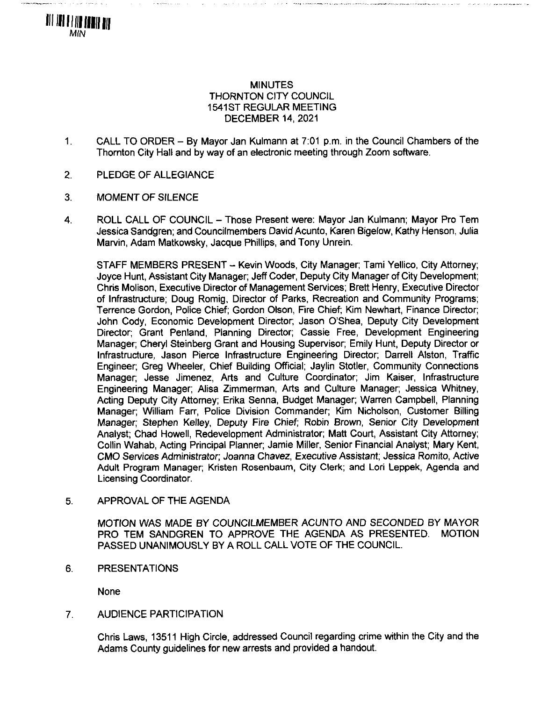# MINUTES THORNTON CITY COUNCIL 1541 ST REGULAR MEETING DECEMBER 14, 2021

- 1. CALL TO ORDER By Mayor Jan Kulmann at 7:01 p.m. in the Council Chambers of the Thornton City Hall and by way of an electronic meeting through Zoom software.
- 2. PLEDGE OF ALLEGIANCE
- 3. MOMENT OF SILENCE

**III III I III IIII III** MN

> 4. ROLL CALL OF COUNCIL - Those Present were: Mayor Jan Kulmann; Mayor Pro Tem Jessica Sandgren; and Councilmembers David Acunto, Karen Bigelow, Kathy Henson, Julia Marvin, Adam Matkowsky, Jacque Phillips, and Tony Unrein.

STAFF MEMBERS PRESENT - Kevin Woods, City Manager; Tami Yellico, City Attorney; Joyce Hunt, Assistant City Manager; Jeff Coder, Deputy City Manager of City Development; Chris Molison, Executive Director of Management Services; Brett Henry, Executive Director of Infrastructure; Doug Romig, Director of Parks, Recreation and Community Programs; Terrence Gordon, Police Chief; Gordon Olson, Fire Chief; Kim Newhart, Finance Director; John Cody, Economic Development Director; Jason O'Shea, Deputy City Development Director; Grant Penland, Planning Director; Cassie Free, Development Engineering Manager; Cheryl Steinberg Grant and Housing Supervisor; Emily Hunt, Deputy Director or Infrastructure, Jason Pierce Infrastructure Engineering Director; Darrell Alston, Traffic Engineer; Greg Wheeler, Chief Building Official; Jaylin Stotler, Community Connections Manager; Jesse Jimenez, Arts and Culture Coordinator; Jim Kaiser, Infrastructure Engineering Manager; Alisa Zimmerman, Arts and Culture Manager; Jessica Whitney, Acting Deputy City Attorney; Erika Senna, Budget Manager; Warren Campbell, Planning Manager; William Farr, Police Division Commander; Kim Nicholson, Customer Billing Manager; Stephen Kelley, Deputy Fire Chief; Robin Brown, Senior City Development Analyst: Chad Howell, Redevelopment Administrator; Matt Court, Assistant City Attorney; Collin Wahab, Acting Principal Planner; Jamie Miller, Senior Financial Analyst; Mary Kent, CMO Sen/ices Administrator; Joanna Chavez, Executive Assistant; Jessica Romito, Active Adult Program Manager; Kristen Rosenbaum, City Clerk; and Lori Leppek, Agenda and Licensing Coordinator.

5. APPROVAL OF THE AGENDA

MOTION WAS MADE BY COUNCILMEMBER ACUNTO AND SECONDED BY MAYOR<br>PRO TEM SANDGREN TO APPROVE THE AGENDA AS PRESENTED. MOTION PRO TEM SANDGREN TO APPROVE THE AGENDA AS PRESENTED. PASSED UNANIMOUSLY BY A ROLL CALL VOTE OF THE COUNCIL.

6. PRESENTATIONS

None

## 7. AUDIENCE PARTICIPATION

Chris Laws, 13511 High Circle, addressed Council regarding crime within the City and the Adams County guidelines for new arrests and provided a handout.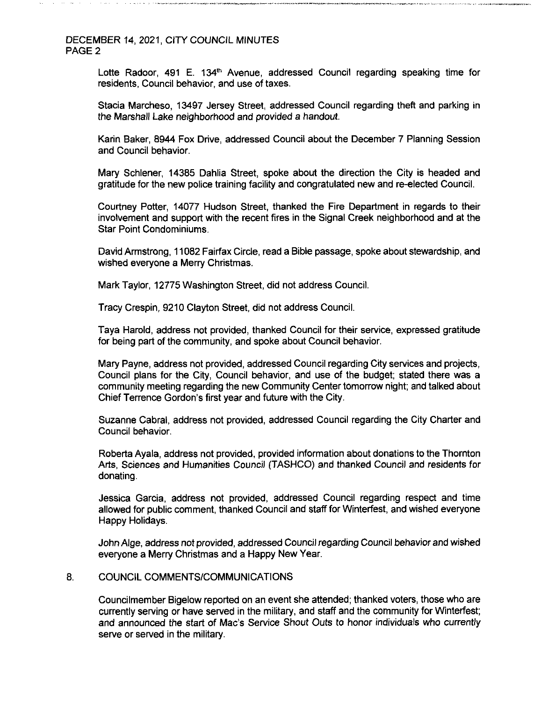Lotte Radoor, 491 E. 134<sup>th</sup> Avenue, addressed Council regarding speaking time for residents, Council behavior, and use of taxes.

**i»^v»i»«jni JiiilTT'**

Stacia Marcheso, 13497 Jersey Street, addressed Council regarding theft and parking in the Marshall Lake neighborhood and provided a handout.

Karin Baker, 8944 Fox Drive, addressed Council about the December 7 Planning Session and Council behavior.

Mary Schlener, 14385 Dahlia Street, spoke about the direction the City is headed and gratitude for the new police training facility and congratulated new and re-elected Council.

Courtney Potter, 14077 Hudson Street, thanked the Fire Department in regards to their involvement and support with the recent fires in the Signal Creek neighborhood and at the Star Point Condominiums.

David Armstrong, 11082 Fairfax Circle, read a Bible passage, spoke about stewardship, and wished everyone a Merry Christmas.

Mark Taylor, 12775 Washington Street, did not address Council.

Tracy Crespin, 9210 Clayton Street, did not address Council.

Taya Harold, address not provided, thanked Council for their service, expressed gratitude for being part of the community, and spoke about Council behavior.

Mary Payne, address not provided, addressed Council regarding City services and projects, Council plans for the City, Council behavior, and use of the budget; stated there was a community meeting regarding the new Community Centertomorrow night; and talked about Chief Terrence Gordon's first year and future with the City.

Suzanne Cabral, address not provided, addressed Council regarding the City Charter and Council behavior.

Roberta Ayala, address not provided, provided information about donations to the Thornton Arts, Sciences and Humanities Council (TASHCO) and thanked Council and residents for donating.

Jessica Garcia, address not provided, addressed Council regarding respect and time allowed for public comment, thanked Council and staff for Winterfest, and wished everyone Happy Holidays.

JohnAlge, address not provided, addressed Council regarding Council behavior and wished everyone a Merry Christmas and a Happy New Year.

## 8. COUNCIL COMMENTS/COMMUNICATIONS

Councilmember Bigelow reported on an event she attended; thanked voters, those who are currently serving or have served in the military, and staff and the community for Winterfest; and announced the start of Mac's Service Shout Outs to honor individuals who currently serve or served in the military.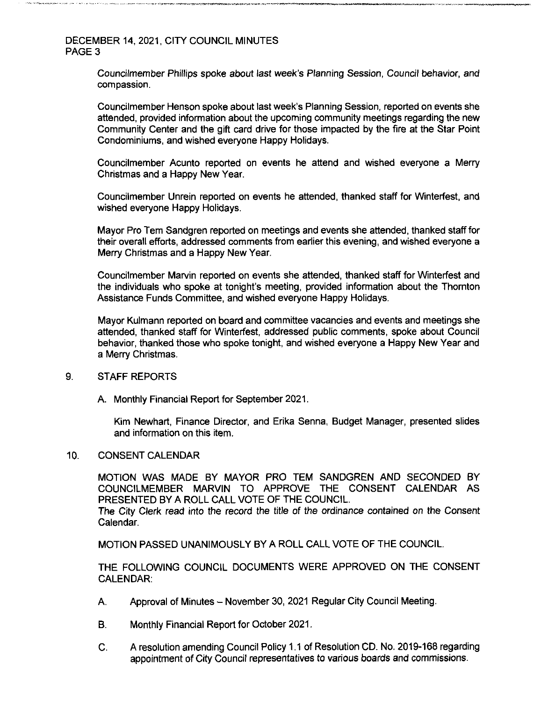Councilmember Phillips spoke about last week's Planning Session, Council behavior, and compassion.

Councilmember Henson spoke about last week's Planning Session, reported on events she attended, provided information about the upcoming community meetings regarding the new Community Center and the gift card drive for those impacted by the fire at the Star Point Condominiums, and wished everyone Happy Holidays.

Councilmember Acunto reported on events he attend and wished everyone a Merry Christmas and a Happy New Year.

Councilmember Unrein reported on events he attended, thanked staff for Winterfest, and wished everyone Happy Holidays.

Mayor Pro Tern Sandgren reported on meetings and events she attended, thanked staff for their overall efforts, addressed comments from earlier this evening, and wished everyone a Merry Christmas and a Happy New Year.

Councilmember Marvin reported on events she attended, thanked staff for Winterfest and the individuals who spoke at tonight's meeting, provided information about the Thornton Assistance Funds Committee, and wished everyone Happy Holidays.

Mayor Kulmann reported on board and committee vacancies and events and meetings she attended, thanked staff for Winterfest, addressed public comments, spoke about Council behavior, thanked those who spoke tonight, and wished everyone a Happy New Year and a Merry Christmas.

#### 9. STAFF REPORTS

A. Monthly Financial Report for September 2021.

Kim Newhart, Finance Director, and Erika Senna, Budget Manager, presented slides and information on this item.

10. CONSENT CALENDAR

MOTION WAS MADE BY MAYOR PRO TEM SANDGREN AND SECONDED BY COUNCILMEMBER MARVIN TO APPROVE THE CONSENT CALENDAR AS PRESENTED BY A ROLL CALL VOTE OF THE COUNCIL. The City Clerk read into the record the title of the ordinance contained on the Consent Calendar.

MOTION PASSED UNANIMOUSLY BY A ROLL CALL VOTE OF THE COUNCIL.

THE FOLLOWING COUNCIL DOCUMENTS WERE APPROVED ON THE CONSENT CALENDAR:

- A. Approval of Minutes November 30, <sup>2021</sup> Regular City Council Meeting.
- B. Monthly Financial Report for October 2021.
- C. A resolution amending Council Policy 1.1 of Resolution CD. No. 2019-168 regarding appointment of City Council representatives to various boards and commissions.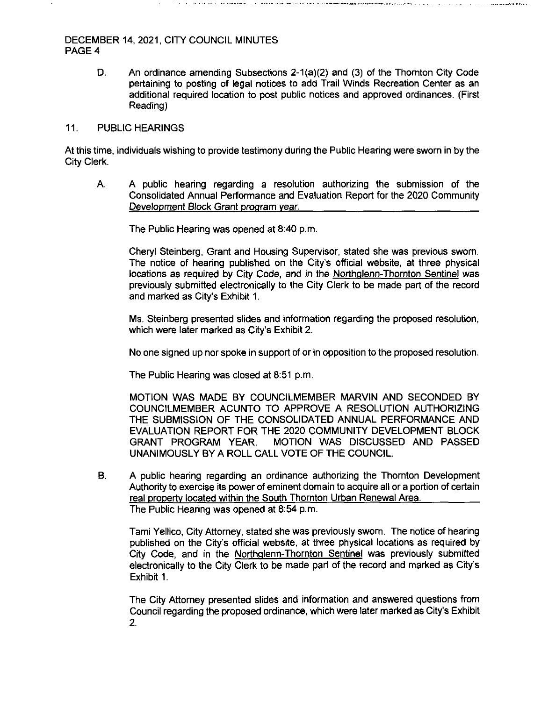D. An ordinance amending Subsections 2-1 (a)(2) and (3) of the Thornton City Code pertaining to posting of legal notices to add Trail Winds Recreation Center as an additional required location to post public notices and approved ordinances. (First Reading)

#### 11. PUBLIC HEARINGS

At this time, individuals wishing to provide testimony during the Public Hearing were sworn in by the City Clerk.

A. A public hearing regarding a resolution authorizing the submission of the Consolidated Annual Performance and Evaluation Report for the 2020 Community Development Block Grant program year.

The Public Hearing was opened at 8:40 p.m.

Cheryl Steinberg, Grant and Housing Supervisor, stated she was previous sworn. The notice of hearing published on the City's official website, at three physical locations as required by City Code, and in the Northalenn-Thornton Sentinel was previously submitted electronically to the City Clerk to be made part of the record and marked as City's Exhibit 1.

Ms. Steinberg presented slides and information regarding the proposed resolution, which were later marked as City's Exhibit 2.

No one signed up nor spoke in support of or in opposition to the proposed resolution.

The Public Hearing was closed at 8:51 p.m.

MOTION WAS MADE BY COUNCILMEMBER MARVIN AND SECONDED BY COUNCILMEMBER ACUNTO TO APPROVE A RESOLUTION AUTHORIZING THE SUBMISSION OF THE CONSOLIDATED ANNUAL PERFORMANCE AND EVALUATION REPORT FOR THE 2020 COMMUNITY DEVELOPMENT BLOCK GRANT PROGRAM YEAR. MOTION WAS DISCUSSED AND PASSED UNANIMOUSLY BY A ROLL CALL VOTE OF THE COUNCIL

B. A public hearing regarding an ordinance authorizing the Thornton Development Authority to exercise its power of eminent domain to acquire all or a portion of certain real property located within the South Thornton Urban Renewal Area. The Public Hearing was opened at 8:54 p.m.

Tami Yellico, City Attorney, stated she was previously sworn. The notice of hearing published on the City's official website, at three physical locations as required by City Code, and in the Northalenn-Thornton Sentinel was previously submitted electronically to the City Clerk to be made part of the record and marked as City's Exhibit 1.

The City Attorney presented slides and information and answered questions from Council regarding the proposed ordinance, which were later marked as City's Exhibit 2.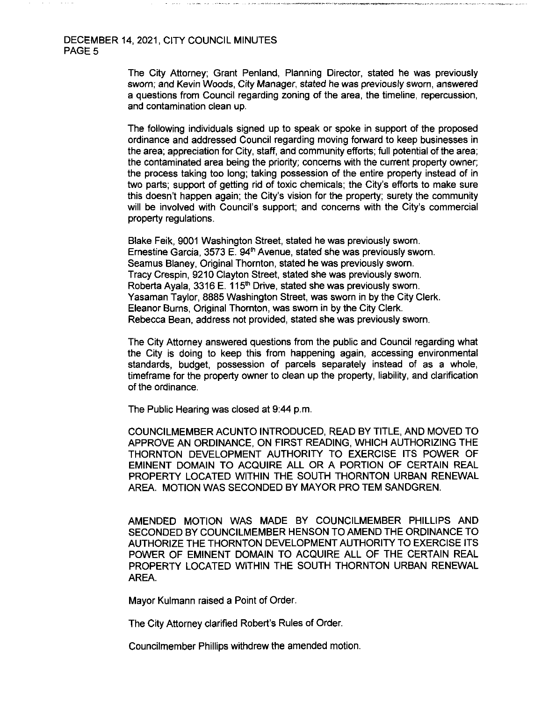#### DECEMBER 14, 2021, CITY COUNCIL MINUTES PAGE<sub>5</sub>

The City Attorney; Grant Penland, Planning Director, stated he was previously sworn; and Kevin Woods, City Manager, stated he was previously sworn, answered a questions from Council regarding zoning of the area, the timeline, repercussion, and contamination clean up.

*I>■ >1V—\*»XVf-'*

The following individuals signed up to speak or spoke in support of the proposed ordinance and addressed Council regarding moving forward to keep businesses in the area; appreciation for City, staff, and community efforts; full potential of the area; the contaminated area being the priority; concerns with the current property owner; the process taking too long; taking possession of the entire property instead of in two parts; support of getting rid of toxic chemicals; the City's efforts to make sure this doesn't happen again; the City's vision for the property: surety the community will be involved with Council's support; and concerns with the City's commercial property regulations.

Blake Feik, 9001 Washington Street, stated he was previously sworn. Ernestine Garcia, 3573 E. 94 $^{\text{th}}$  Avenue, stated she was previously sworn. Seamus Blaney, Original Thornton, stated he was previously sworn. Tracy Crespin, 9210 Clayton Street, stated she was previously sworn. Roberta Ayala, 3316 E. 115<sup>th</sup> Drive, stated she was previously sworn. Yasaman Taylor, 8885 Washington Street, was sworn in by the City Clerk. Eleanor Burns, Original Thornton, was sworn in by the City Clerk. Rebecca Bean, address not provided, stated she was previously sworn.

The City Attorney answered questions from the public and Council regarding what the City is doing to keep this from happening again, accessing environmental standards, budget, possession of parcels separately instead of as a whole, timeframe for the property owner to clean up the property, liability, and clarification of the ordinance.

The Public Hearing was closed at 9:44 p.m.

COUNCILMEMBER ACUNTO INTRODUCED, READ BY TITLE, AND MOVED TO APPROVE AN ORDINANCE, ON FIRST READING. WHICH AUTHORIZING THE THORNTON DEVELOPMENT AUTHORITY TO EXERCISE ITS POWER OF EMINENT DOMAIN TO ACQUIRE ALL OR A PORTION OF CERTAIN REAL PROPERTY LOCATED WITHIN THE SOUTH THORNTON URBAN RENEWAL AREA. MOTION WAS SECONDED BY MAYOR PRO TEM SANDGREN.

AMENDED MOTION WAS MADE BY COUNCILMEMBER PHILLIPS AND SECONDED BY COUNCILMEMBER HENSON TO AMEND THE ORDINANCE TO AUTHORIZE THE THORNTON DEVELOPMENT AUTHORITY TO EXERCISE ITS POWER OF EMINENT DOMAIN TO ACQUIRE ALL OF THE CERTAIN REAL PROPERTY LOCATED WITHIN THE SOUTH THORNTON URBAN RENEWAL AREA.

Mayor Kulmann raised a Point of Order.

The City Attorney clarified Robert's Rules of Order.

Councilmember Phillips withdrew the amended motion.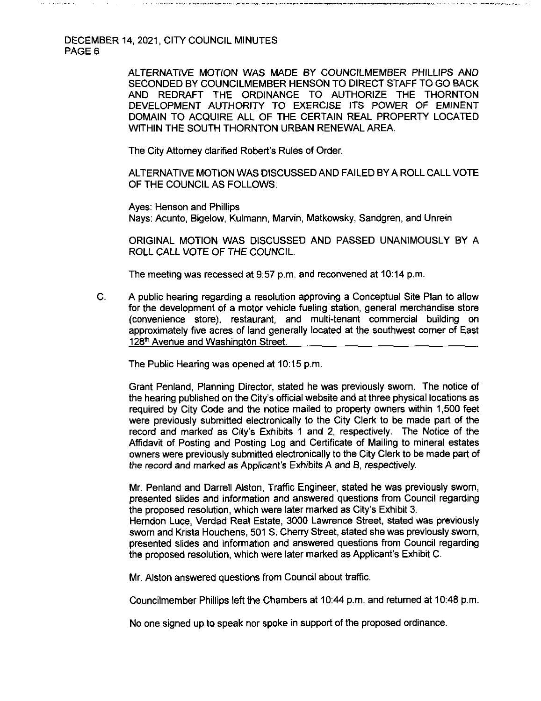> ALTERNATIVE MOTION WAS MADE BY COUNCILMEMBER PHILLIPS AND SECONDED BY COUNCILMEMBER HENSON TO DIRECT STAFF TO GO BACK AND REDRAFT THE ORDINANCE TO AUTHORIZE THE THORNTON DEVELOPMENT AUTHORITY TO EXERCISE ITS POWER OF EMINENT DOMAIN TO ACQUIRE ALL OF THE CERTAIN REAL PROPERTY LOCATED WITHIN THE SOUTH THORNTON URBAN RENEWAL AREA.

\*-,ii <r'< ■«»—1>,»

The City Attorney clarified Robert's Rules of Order.

ALTERNATIVE MOTION WAS DISCUSSED AND FAILED BYA ROLL CALL VOTE OF THE COUNCIL AS FOLLOWS:

Ayes: Henson and Phillips Nays: Acunto, Bigelow, Kulmann, Marvin, Matkowsky, Sandgren, and Unrein

ORIGINAL MOTION WAS DISCUSSED AND PASSED UNANIMOUSLY BY A ROLL CALL VOTE OF THE COUNCIL.

The meeting was recessed at 9:57 p.m. and reconvened at 10:14 p.m.

C. A public hearing regarding a resolution approving a Conceptual Site Plan to allow for the development of a motor vehicle fueling station, general merchandise store (convenience store), restaurant, and multi-tenant commercial building on approximately five acres of land generally located at the southwest corner of East 128<sup>th</sup> Avenue and Washington Street.

The Public Hearing was opened at 10:15 p.m.

Grant Penland, Planning Director, stated he was previously sworn. The notice of the hearing published on the City's official website and at three physical locations as required by City Code and the notice mailed to property owners within 1,500 feet were previously submitted electronically to the City Clerk to be made part of the record and marked as City's Exhibits <sup>1</sup> and 2, respectively. The Notice of the Affidavit of Posting and Posting Log and Certificate of Mailing to mineral estates owners were previously submitted electronically to the City Clerk to be made part of the record and marked as Applicant's Exhibits A and B, respectively.

Mr. Penland and Darrell Alston, Traffic Engineer, stated he was previously sworn, presented slides and information and answered questions from Council regarding the proposed resolution, which were later marked as City's Exhibit 3. Herndon Luce, Verdad Real Estate, 3000 Lawrence Street, stated was previously sworn and Krista Houchens, 501 S. Cherry Street, stated she was previously sworn, presented slides and information and answered questions from Council regarding the proposed resolution, which were later marked as Applicant's Exhibit C.

Mr. Alston answered questions from Council about traffic.

Councilmember Phillips left the Chambers at 10:44 p.m. and returned at 10:48 p.m.

No one signed up to speak nor spoke in support of the proposed ordinance.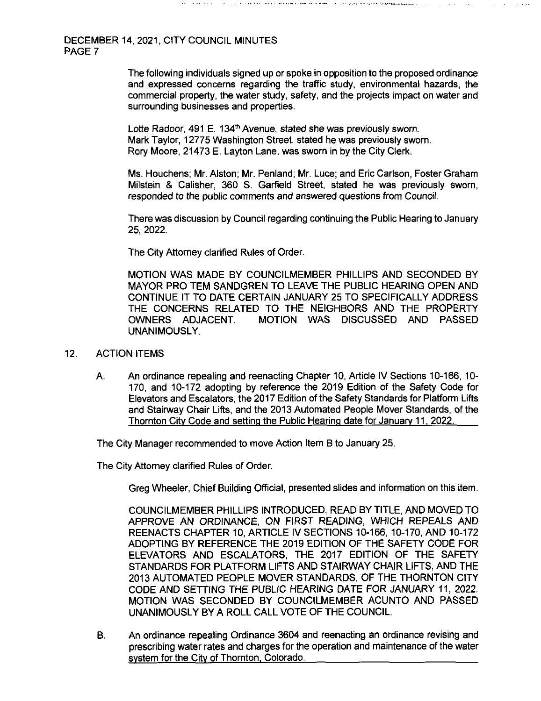> The following individuals signed up or spoke in opposition to the proposed ordinance and expressed concerns regarding the traffic study, environmental hazards, the commercial property, the water study, safety, and the projects impact on water and surrounding businesses and properties.

Lotte Radoor, 491 E. 134<sup>th</sup> Avenue, stated she was previously sworn. Mark Taylor, 12775 Washington Street, stated he was previously sworn. Rory Moore, 21473 E. Layton Lane, was sworn in by the City Clerk.

Ms. Houchens; Mr. Alston; Mr. Penland; Mr. Luce; and Eric Carlson, Foster Graham Milstein & Calisher, 360 S. Garfield Street, stated he was previously sworn, responded to the public comments and answered questions from Council.

There was discussion by Council regarding continuing the Public Hearing to January 25, 2022.

The City Attorney clarified Rules of Order.

MOTION WAS MADE BY COUNCILMEMBER PHILLIPS AND SECONDED BY MAYOR PRO TEM SANDGREN TO LEAVE THE PUBLIC HEARING OPEN AND CONTINUE IT TO DATE CERTAIN JANUARY 25 TO SPECIFICALLY ADDRESS THE CONCERNS RELATED TO THE NEIGHBORS AND THE PROPERTY OWNERS ADJACENT. MOTION WAS DISCUSSED AND PASSED UNANIMOUSLY.

- 12. ACTION ITEMS
	- A. An ordinance repealing and reenacting Chapter 10, Article IV Sections 10-166, 10- 170, and 10-172 adopting by reference the 2019 Edition of the Safety Code for Elevators and Escalators, the 2017 Edition of the Safety Standards for Platform Lifts and Stainway Chair Lifts, and the 2013 Automated People Mover Standards, of the Thornton City Code and setting the Public Hearing date for January 11.2022.

The City Manager recommended to move Action Item B to January 25.

The City Attorney clarified Rules of Order.

Greg Wheeler, Chief Building Official, presented slides and information on this item.

COUNCILMEMBER PHILLIPS INTRODUCED, READ BY TITLE, AND MOVED TO APPROVE AN ORDINANCE, ON FIRST READING, WHICH REPEALS AND REENACTS CHAPTER 10, ARTICLE IV SECTIONS 10-166, 10-170, AND 10-172 ADOPTING BY REFERENCE THE 2019 EDITION OF THE SAFETY CODE FOR ELEVATORS AND ESCALATORS, THE 2017 EDITION OF THE SAFETY STANDARDS FOR PLATFORM LIFTS AND STAIRWAY CHAIR LIFTS, AND THE 2013 AUTOMATED PEOPLE MOVER STANDARDS, OF THE THORNTON CITY CODE AND SETTING THE PUBLIC HEARING DATE FOR JANUARY 11, 2022. MOTION WAS SECONDED BY COUNCILMEMBER ACUNTO AND PASSED UNANIMOUSLY BY A ROLL CALL VOTE OF THE COUNCIL.

B. An ordinance repealing Ordinance 3604 and reenacting an ordinance revising and prescribing water rates and charges for the operation and maintenance of the water system for the City of Thornton. Colorado.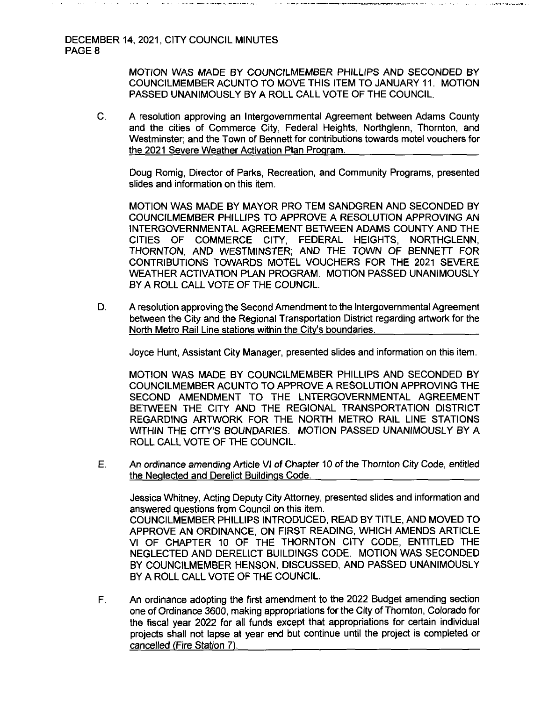MOTION WAS MADE BY COUNCILMEMBER PHILLIPS AND SECONDED BY COUNCILMEMBER ACUNTO TO MOVE THIS ITEM TO JANUARY 11. MOTION PASSED UNANIMOUSLY BY A ROLL CALL VOTE OF THE COUNCIL.

C. A resolution approving an Intergovernmental Agreement between Adams County and the cities of Commerce City, Federal Heights, Northglenn, Thornton, and Westminster; and the Town of Bennett for contributions towards motel vouchers for the 2021 Severe Weather Activation Plan Program.

Doug Romig, Director of Parks, Recreation, and Community Programs, presented slides and information on this item.

MOTION WAS MADE BY MAYOR PRO TEM SANDGREN AND SECONDED BY COUNCILMEMBER PHILLIPS TO APPROVE A RESOLUTION APPROVING AN INTERGOVERNMENTAL AGREEMENT BETWEEN ADAMS COUNTY AND THE CITIES OF COMMERCE CITY, FEDERAL HEIGHTS, NORTHGLENN, THORNTON, AND WESTMINSTER; AND THE TOWN OF BENNETT FOR CONTRIBUTIONS TOWARDS MOTEL VOUCHERS FOR THE 2021 SEVERE WEATHER ACTIVATION PLAN PROGRAM. MOTION PASSED UNANIMOUSLY BY A ROLL CALL VOTE OF THE COUNCIL.

D. A resolution approving the Second Amendment to the Intergovernmental Agreement between the City and the Regional Transportation District regarding artwork for the North Metro Rail Line stations within the City's boundaries.

Joyce Hunt, Assistant City Manager, presented slides and information on this item.

MOTION WAS MADE BY COUNCILMEMBER PHILLIPS AND SECONDED BY COUNCILMEMBER ACUNTO TO APPROVE A RESOLUTION APPROVING THE SECOND AMENDMENT TO THE LNTERGOVERNMENTAL AGREEMENT BETWEEN THE CITY AND THE REGIONAL TRANSPORTATION DISTRICT REGARDING ARTWORK FOR THE NORTH METRO RAIL LINE STATIONS WITHIN THE CITY'S BOUNDARIES. MOTION PASSED UNANIMOUSLY BY A ROLL CALL VOTE OF THE COUNCIL.

E. An ordinance amending Article VI of Chapter 10 of the Thornton City Code, entitled the Neglected and Derelict Buildings Code.

Jessica Whitney, Acting Deputy City Attorney, presented slides and information and answered questions from Council on this item. COUNCILMEMBER PHILLIPS INTRODUCED, READ BY TITLE, AND MOVED TO APPROVE AN ORDINANCE, ON FIRST READING, WHICH AMENDS ARTICLE VI OF CHAPTER 10 OF THE THORNTON CITY CODE, ENTITLED THE NEGLECTED AND DERELICT BUILDINGS CODE. MOTION WAS SECONDED BY COUNCILMEMBER HENSON, DISCUSSED, AND PASSED UNANIMOUSLY BY A ROLL CALL VOTE OF THE COUNCIL.

F. An ordinance adopting the first amendment to the 2022 Budget amending section one of Ordinance 3600, making appropriations forthe City of Thornton, Colorado for the fiscal year 2022 for all funds except that appropriations for certain individual projects shall not lapse at year end but continue until the project is completed or cancelled (Fire Station 7).